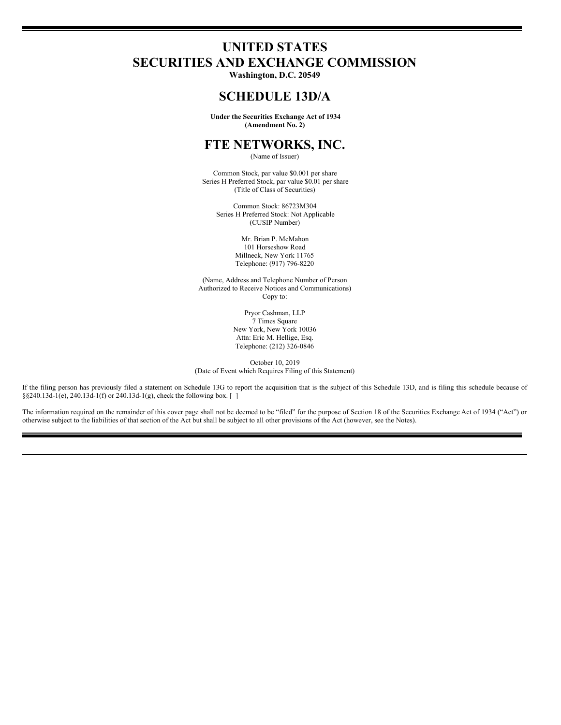# **UNITED STATES SECURITIES AND EXCHANGE COMMISSION**

**Washington, D.C. 20549**

# **SCHEDULE 13D/A**

**Under the Securities Exchange Act of 1934 (Amendment No. 2)**

# **FTE NETWORKS, INC.**

(Name of Issuer)

Common Stock, par value \$0.001 per share Series H Preferred Stock, par value \$0.01 per share (Title of Class of Securities)

Common Stock: 86723M304 Series H Preferred Stock: Not Applicable (CUSIP Number)

> Mr. Brian P. McMahon 101 Horseshow Road Millneck, New York 11765 Telephone: (917) 796-8220

(Name, Address and Telephone Number of Person Authorized to Receive Notices and Communications) Copy to:

> Pryor Cashman, LLP 7 Times Square New York, New York 10036 Attn: Eric M. Hellige, Esq. Telephone: (212) 326-0846

October 10, 2019 (Date of Event which Requires Filing of this Statement)

If the filing person has previously filed a statement on Schedule 13G to report the acquisition that is the subject of this Schedule 13D, and is filing this schedule because of §§240.13d-1(e), 240.13d-1(f) or 240.13d-1(g), check the following box. []

The information required on the remainder of this cover page shall not be deemed to be "filed" for the purpose of Section 18 of the Securities Exchange Act of 1934 ("Act") or otherwise subject to the liabilities of that section of the Act but shall be subject to all other provisions of the Act (however, see the Notes).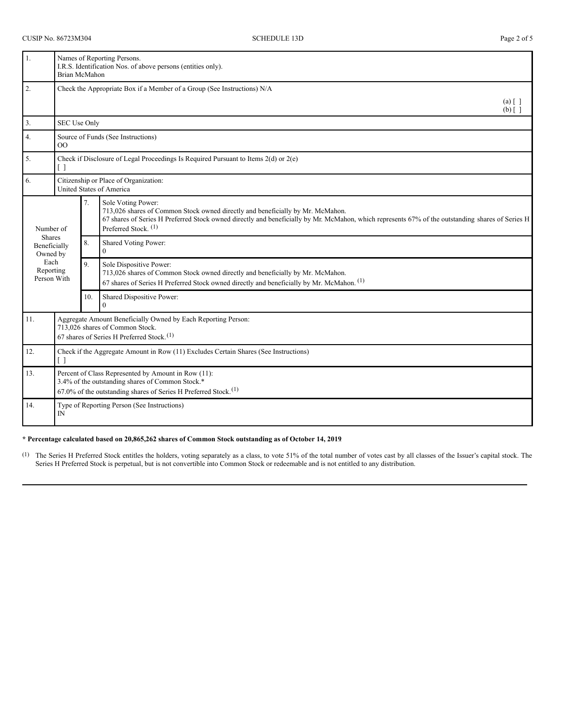| 1.                                        | Names of Reporting Persons.<br>I.R.S. Identification Nos. of above persons (entities only).<br><b>Brian McMahon</b>                                                                       |     |                                                                                                                                                                                                                                                                                             |  |  |
|-------------------------------------------|-------------------------------------------------------------------------------------------------------------------------------------------------------------------------------------------|-----|---------------------------------------------------------------------------------------------------------------------------------------------------------------------------------------------------------------------------------------------------------------------------------------------|--|--|
| 2.                                        | Check the Appropriate Box if a Member of a Group (See Instructions) N/A<br>$(a) \lceil \; \rceil$<br>$(b)$ [ ]                                                                            |     |                                                                                                                                                                                                                                                                                             |  |  |
| 3.                                        | SEC Use Only                                                                                                                                                                              |     |                                                                                                                                                                                                                                                                                             |  |  |
| 4.                                        | Source of Funds (See Instructions)<br>$\overline{O}O$                                                                                                                                     |     |                                                                                                                                                                                                                                                                                             |  |  |
| 5.                                        | Check if Disclosure of Legal Proceedings Is Required Pursuant to Items $2(d)$ or $2(e)$                                                                                                   |     |                                                                                                                                                                                                                                                                                             |  |  |
| 6.                                        | Citizenship or Place of Organization:<br>United States of America                                                                                                                         |     |                                                                                                                                                                                                                                                                                             |  |  |
| Number of                                 |                                                                                                                                                                                           | 7.  | Sole Voting Power:<br>713,026 shares of Common Stock owned directly and beneficially by Mr. McMahon.<br>67 shares of Series H Preferred Stock owned directly and beneficially by Mr. McMahon, which represents 67% of the outstanding shares of Series H<br>Preferred Stock. <sup>(1)</sup> |  |  |
| <b>Shares</b><br>Beneficially<br>Owned by |                                                                                                                                                                                           | 8.  | Shared Voting Power:<br>$\theta$                                                                                                                                                                                                                                                            |  |  |
| Each<br>Reporting<br>Person With          |                                                                                                                                                                                           | 9.  | Sole Dispositive Power:<br>713,026 shares of Common Stock owned directly and beneficially by Mr. McMahon.<br>67 shares of Series H Preferred Stock owned directly and beneficially by Mr. McMahon. <sup>(1)</sup>                                                                           |  |  |
|                                           |                                                                                                                                                                                           | 10. | Shared Dispositive Power:<br>$\Omega$                                                                                                                                                                                                                                                       |  |  |
| 11.                                       | Aggregate Amount Beneficially Owned by Each Reporting Person:<br>713,026 shares of Common Stock.<br>67 shares of Series H Preferred Stock. <sup>(1)</sup>                                 |     |                                                                                                                                                                                                                                                                                             |  |  |
| 12.                                       | Check if the Aggregate Amount in Row (11) Excludes Certain Shares (See Instructions)<br>[ ]                                                                                               |     |                                                                                                                                                                                                                                                                                             |  |  |
| 13.                                       | Percent of Class Represented by Amount in Row (11):<br>3.4% of the outstanding shares of Common Stock.*<br>$67.0\%$ of the outstanding shares of Series H Preferred Stock. <sup>(1)</sup> |     |                                                                                                                                                                                                                                                                                             |  |  |
| 14.                                       | Type of Reporting Person (See Instructions)<br>IN                                                                                                                                         |     |                                                                                                                                                                                                                                                                                             |  |  |

## **\* Percentage calculated based on 20,865,262 shares of Common Stock outstanding as of October 14, 2019**.

 $(1)$  The Series H Preferred Stock entitles the holders, voting separately as a class, to vote 51% of the total number of votes cast by all classes of the Issuer's capital stock. The Series H Preferred Stock is perpetual, but is not convertible into Common Stock or redeemable and is not entitled to any distribution.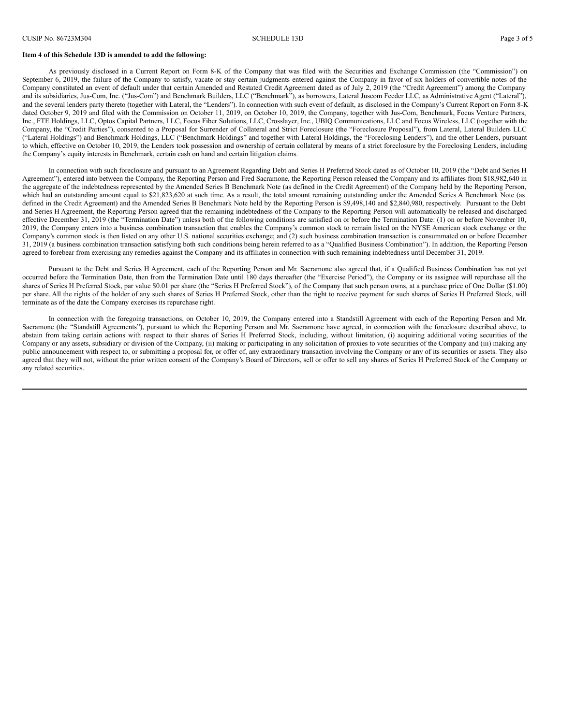#### **Item 4 of this Schedule 13D is amended to add the following:**

As previously disclosed in a Current Report on Form 8-K of the Company that was filed with the Securities and Exchange Commission (the "Commission") on September 6, 2019, the failure of the Company to satisfy, vacate or stay certain judgments entered against the Company in favor of six holders of convertible notes of the Company constituted an event of default under that certain Amended and Restated Credit Agreement dated as of July 2, 2019 (the "Credit Agreement") among the Company and its subsidiaries, Jus-Com, Inc. ("Jus-Com") and Benchmark Builders, LLC ("Benchmark"), as borrowers, Lateral Juscom Feeder LLC, as Administrative Agent ("Lateral"), and the several lenders party thereto (together with Lateral, the "Lenders"). In connection with such event of default, as disclosed in the Company's Current Report on Form 8-K dated October 9, 2019 and filed with the Commission on October 11, 2019, on October 10, 2019, the Company, together with Jus-Com, Benchmark, Focus Venture Partners, Inc., FTE Holdings, LLC, Optos Capital Partners, LLC, Focus Fiber Solutions, LLC, Crosslayer, Inc., UBIQ Communications, LLC and Focus Wireless, LLC (together with the Company, the "Credit Parties"), consented to a Proposal for Surrender of Collateral and Strict Foreclosure (the "Foreclosure Proposal"), from Lateral, Lateral Builders LLC ("Lateral Holdings") and Benchmark Holdings, LLC ("Benchmark Holdings" and together with Lateral Holdings, the "Foreclosing Lenders"), and the other Lenders, pursuant to which, effective on October 10, 2019, the Lenders took possession and ownership of certain collateral by means of a strict foreclosure by the Foreclosing Lenders, including the Company's equity interests in Benchmark, certain cash on hand and certain litigation claims.

In connection with such foreclosure and pursuant to an Agreement Regarding Debt and Series H Preferred Stock dated as of October 10, 2019 (the "Debt and Series H Agreement"), entered into between the Company, the Reporting Person and Fred Sacramone, the Reporting Person released the Company and its affiliates from \$18,982,640 in the aggregate of the indebtedness represented by the Amended Series B Benchmark Note (as defined in the Credit Agreement) of the Company held by the Reporting Person, which had an outstanding amount equal to \$21,823,620 at such time. As a result, the total amount remaining outstanding under the Amended Series A Benchmark Note (as defined in the Credit Agreement) and the Amended Series B Benchmark Note held by the Reporting Person is \$9,498,140 and \$2,840,980, respectively. Pursuant to the Debt and Series H Agreement, the Reporting Person agreed that the remaining indebtedness of the Company to the Reporting Person will automatically be released and discharged effective December 31, 2019 (the "Termination Date") unless both of the following conditions are satisfied on or before the Termination Date: (1) on or before November 10, 2019, the Company enters into a business combination transaction that enables the Company's common stock to remain listed on the NYSE American stock exchange or the Company's common stock is then listed on any other U.S. national securities exchange; and (2) such business combination transaction is consummated on or before December 31, 2019 (a business combination transaction satisfying both such conditions being herein referred to as a "Qualified Business Combination"). In addition, the Reporting Person agreed to forebear from exercising any remedies against the Company and its affiliates in connection with such remaining indebtedness until December 31, 2019.

Pursuant to the Debt and Series H Agreement, each of the Reporting Person and Mr. Sacramone also agreed that, if a Qualified Business Combination has not yet occurred before the Termination Date, then from the Termination Date until 180 days thereafter (the "Exercise Period"), the Company or its assignee will repurchase all the shares of Series H Preferred Stock, par value \$0.01 per share (the "Series H Preferred Stock"), of the Company that such person owns, at a purchase price of One Dollar (\$1.00) per share. All the rights of the holder of any such shares of Series H Preferred Stock, other than the right to receive payment for such shares of Series H Preferred Stock, will terminate as of the date the Company exercises its repurchase right.

In connection with the foregoing transactions, on October 10, 2019, the Company entered into a Standstill Agreement with each of the Reporting Person and Mr. Sacramone (the "Standstill Agreements"), pursuant to which the Reporting Person and Mr. Sacramone have agreed, in connection with the foreclosure described above, to abstain from taking certain actions with respect to their shares of Series H Preferred Stock, including, without limitation, (i) acquiring additional voting securities of the Company or any assets, subsidiary or division of the Company, (ii) making or participating in any solicitation of proxies to vote securities of the Company and (iii) making any public announcement with respect to, or submitting a proposal for, or offer of, any extraordinary transaction involving the Company or any of its securities or assets. They also agreed that they will not, without the prior written consent of the Company's Board of Directors, sell or offer to sell any shares of Series H Preferred Stock of the Company or any related securities.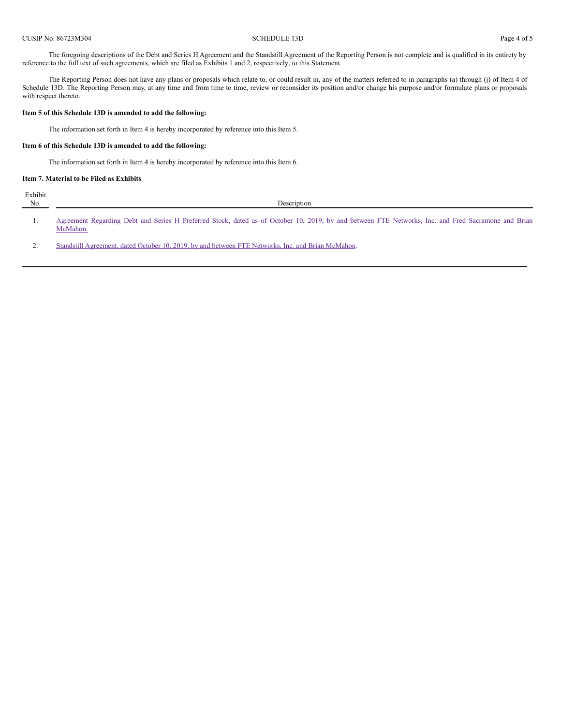The foregoing descriptions of the Debt and Series H Agreement and the Standstill Agreement of the Reporting Person is not complete and is qualified in its entirety by reference to the full text of such agreements, which are filed as Exhibits 1 and 2, respectively, to this Statement.

The Reporting Person does not have any plans or proposals which relate to, or could result in, any of the matters referred to in paragraphs (a) through (j) of Item 4 of Schedule 13D. The Reporting Person may, at any time and from time to time, review or reconsider its position and/or change his purpose and/or formulate plans or proposals with respect thereto.

#### **Item 5 of this Schedule 13D is amended to add the following:**

The information set forth in Item 4 is hereby incorporated by reference into this Item 5.

# **Item 6 of this Schedule 13D is amended to add the following:**

The information set forth in Item 4 is hereby incorporated by reference into this Item 6.

### **Item 7. Material to be Filed as Exhibits**

| Exhibit<br>No. | Description                                                                                                                                                     |  |  |  |  |  |  |
|----------------|-----------------------------------------------------------------------------------------------------------------------------------------------------------------|--|--|--|--|--|--|
|                | Agreement Regarding Debt and Series H Preferred Stock, dated as of October 10, 2019, by and between FTE Networks, Inc. and Fred Sacramone and Brian<br>McMahon. |  |  |  |  |  |  |

2. Standstill [Agreement,](#page-13-0) dated October 10, 2019, by and between FTE Networks, Inc. and Brian McMahon.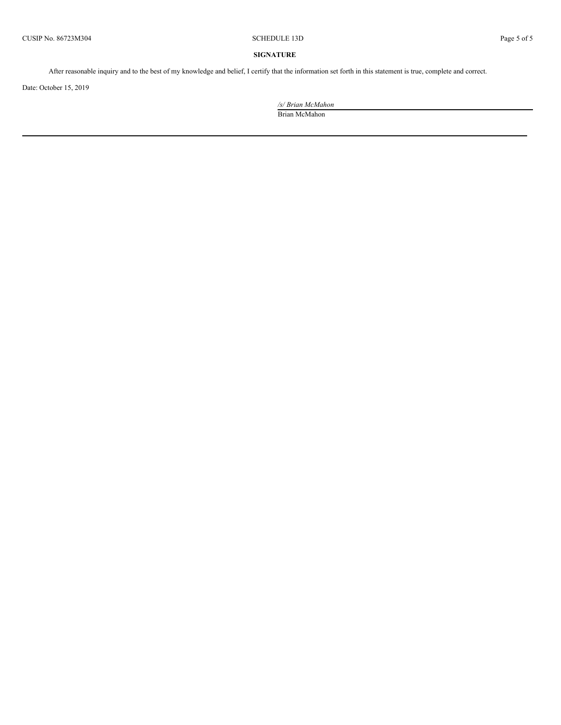# **SIGNATURE**

After reasonable inquiry and to the best of my knowledge and belief, I certify that the information set forth in this statement is true, complete and correct.

Date: October 15, 2019

*/s/ Brian McMahon* Brian McMahon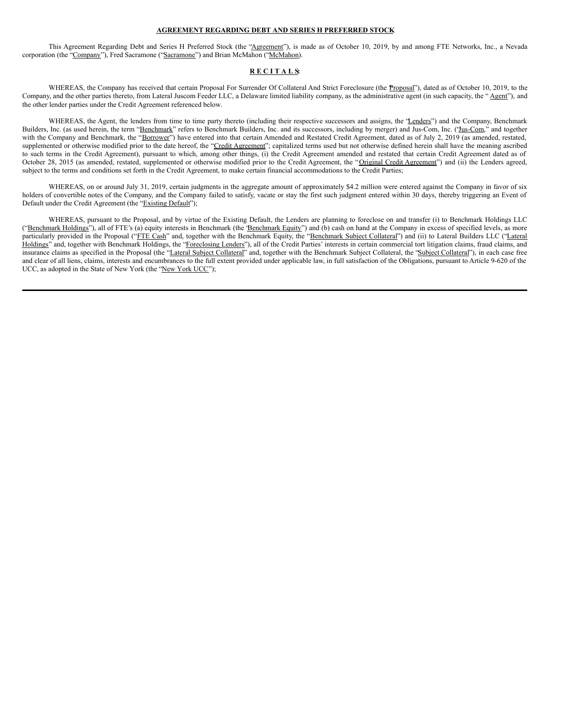#### **AGREEMENT REGARDING DEBT AND SERIES H PREFERRED STOCK**

This Agreement Regarding Debt and Series H Preferred Stock (the "Agreement"), is made as of October 10, 2019, by and among FTE Networks, Inc., a Nevada corporation (the "Company"), Fred Sacramone ("Sacramone") and Brian McMahon ("McMahon).

#### **R E C I T A L S:**

WHEREAS, the Company has received that certain Proposal For Surrender Of Collateral And Strict Foreclosure (the Proposal"), dated as of October 10, 2019, to the Company, and the other parties thereto, from Lateral Juscom Feeder LLC, a Delaware limited liability company, as the administrative agent (in such capacity, the "Agent"), and the other lender parties under the Credit Agreement referenced below.

WHEREAS, the Agent, the lenders from time to time party thereto (including their respective successors and assigns, the 'Lenders'') and the Company, Benchmark Builders, Inc. (as used herein, the term "Benchmark" refers to Benchmark Builders, Inc. and its successors, including by merger) and Jus-Com, Inc. ("Jus-Com," and together with the Company and Benchmark, the "Borrower") have entered into that certain Amended and Restated Credit Agreement, dated as of July 2, 2019 (as amended, restated, supplemented or otherwise modified prior to the date hereof, the "Credit Agreement"; capitalized terms used but not otherwise defined herein shall have the meaning ascribed to such terms in the Credit Agreement), pursuant to which, among other things, (i) the Credit Agreement amended and restated that certain Credit Agreement dated as of October 28, 2015 (as amended, restated, supplemented or otherwise modified prior to the Credit Agreement, the "Original Credit Agreement") and (ii) the Lenders agreed, subject to the terms and conditions set forth in the Credit Agreement, to make certain financial accommodations to the Credit Parties;

WHEREAS, on or around July 31, 2019, certain judgments in the aggregate amount of approximately \$4.2 million were entered against the Company in favor of six holders of convertible notes of the Company, and the Company failed to satisfy, vacate or stay the first such judgment entered within 30 days, thereby triggering an Event of Default under the Credit Agreement (the "Existing Default");

WHEREAS, pursuant to the Proposal, and by virtue of the Existing Default, the Lenders are planning to foreclose on and transfer (i) to Benchmark Holdings LLC ("Benchmark Holdings"), all of FTE's (a) equity interests in Benchmark (the 'Benchmark Equity") and (b) cash on hand at the Company in excess of specified levels, as more particularly provided in the Proposal ("FTE Cash" and, together with the Benchmark Equity, the "Benchmark Subject Collateral") and (ii) to Lateral Builders LLC ("Lateral Holdings" and, together with Benchmark Holdings, the "Foreclosing Lenders"), all of the Credit Parties' interests in certain commercial tort litigation claims, fraud claims, and insurance claims as specified in the Proposal (the "Lateral Subject Collateral" and, together with the Benchmark Subject Collateral, the "Subject Collateral"), in each case free and clear of all liens, claims, interests and encumbrances to the full extent provided under applicable law, in full satisfaction of the Obligations, pursuant to Article 9-620 of the UCC, as adopted in the State of New York (the "New York UCC");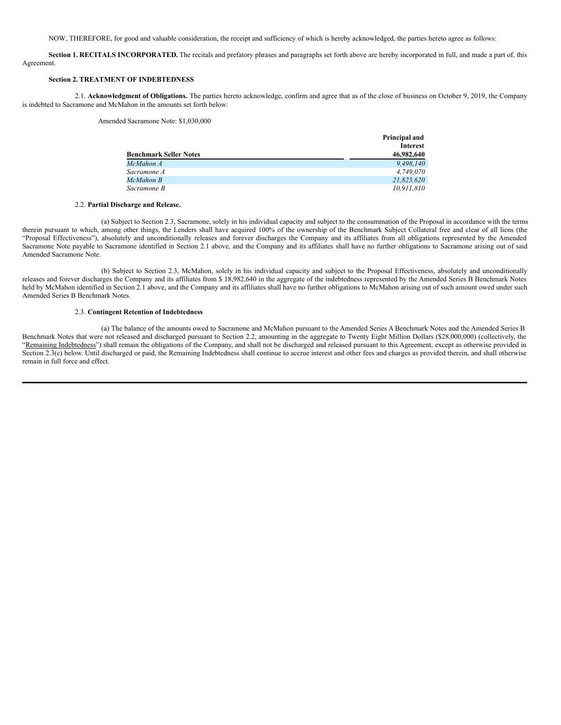NOW, THEREFORE, for good and valuable consideration, the receipt and sufficiency of which is hereby acknowledged, the parties hereto agree as follows:

**Section 1. RECITALS INCORPORATED.** The recitals and prefatory phrases and paragraphs set forth above are hereby incorporated in full, and made a part of, this Agreement.

## **Section 2. TREATMENT OF INDEBTEDNESS**

2.1. **Acknowledgment of Obligations.** The parties hereto acknowledge, confirm and agree that as of the close of business on October 9, 2019, the Company is indebted to Sacramone and McMahon in the amounts set forth below:

#### Amended Sacramone Note: \$1,030,000

|                               | Principal and   |
|-------------------------------|-----------------|
|                               | <b>Interest</b> |
| <b>Benchmark Seller Notes</b> | 46,982,640      |
| McMahon A                     | 9.498.140       |
| Sacramone A                   | 4,749,070       |
| McMahon B                     | 21.823.620      |
| Sacramone B                   | 10.911.810      |

#### 2.2. **Partial Discharge and Release.**

(a) Subject to Section 2.3, Sacramone, solely in his individual capacity and subject to the consummation of the Proposal in accordance with the terms therein pursuant to which, among other things, the Lenders shall have acquired 100% of the ownership of the Benchmark Subject Collateral free and clear of all liens (the "Proposal Effectiveness"), absolutely and unconditionally releases and forever discharges the Company and its affiliates from all obligations represented by the Amended Sacramone Note payable to Sacramone identified in Section 2.1 above, and the Company and its affiliates shall have no further obligations to Sacramone arising out of said Amended Sacramone Note.

(b) Subject to Section 2.3, McMahon, solely in his individual capacity and subject to the Proposal Effectiveness, absolutely and unconditionally releases and forever discharges the Company and its affiliates from \$ 18,982,640 in the aggregate of the indebtedness represented by the Amended Series B Benchmark Notes held by McMahon identified in Section 2.1 above, and the Company and its affiliates shall have no further obligations to McMahon arising out of such amount owed under such Amended Series B Benchmark Notes.

#### 2.3. **Contingent Retention of Indebtedness**

(a) The balance of the amounts owed to Sacramone and McMahon pursuant to the Amended Series A Benchmark Notes and the Amended Series B Benchmark Notes that were not released and discharged pursuant to Section 2.2, amounting in the aggregate to Twenty Eight Million Dollars (\$28,000,000) (collectively, the "Remaining Indebtedness") shall remain the obligations of the Company, and shall not be discharged and released pursuant to this Agreement, except as otherwise provided in Section 2.3(c) below. Until discharged or paid, the Remaining Indebtedness shall continue to accrue interest and other fees and charges as provided therein, and shall otherwise remain in full force and effect.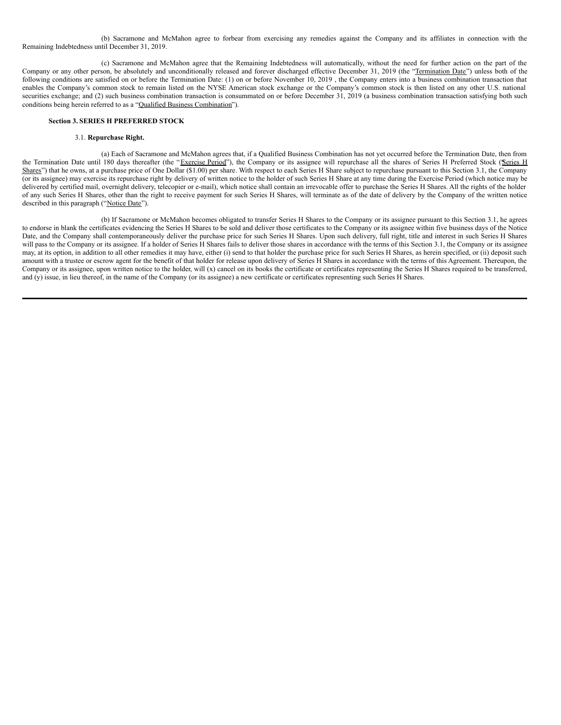<span id="page-8-0"></span>(b) Sacramone and McMahon agree to forbear from exercising any remedies against the Company and its affiliates in connection with the Remaining Indebtedness until December 31, 2019.

(c) Sacramone and McMahon agree that the Remaining Indebtedness will automatically, without the need for further action on the part of the Company or any other person, be absolutely and unconditionally released and forever discharged effective December 31, 2019 (the "Termination Date") unless both of the following conditions are satisfied on or before the Termination Date: (1) on or before November 10, 2019 , the Company enters into a business combination transaction that enables the Company's common stock to remain listed on the NYSE American stock exchange or the Company's common stock is then listed on any other U.S. national securities exchange; and (2) such business combination transaction is consummated on or before December 31, 2019 (a business combination transaction satisfying both such conditions being herein referred to as a "Qualified Business Combination").

# **Section 3. SERIES H PREFERRED STOCK**

#### 3.1. **Repurchase Right.**

(a) Each of Sacramone and McMahon agrees that, if a Qualified Business Combination has not yet occurred before the Termination Date, then from the Termination Date until 180 days thereafter (the "Exercise Period"), the Company or its assignee will repurchase all the shares of Series H Preferred Stock (Series H Shares") that he owns, at a purchase price of One Dollar (\$1.00) per share. With respect to each Series H Share subject to repurchase pursuant to this Section 3.1, the Company (or its assignee) may exercise its repurchase right by delivery of written notice to the holder of such Series H Share at any time during the Exercise Period (which notice may be delivered by certified mail, overnight delivery, telecopier or e-mail), which notice shall contain an irrevocable offer to purchase the Series H Shares. All the rights of the holder of any such Series H Shares, other than the right to receive payment for such Series H Shares, will terminate as of the date of delivery by the Company of the written notice described in this paragraph ("Notice Date").

(b) If Sacramone or McMahon becomes obligated to transfer Series H Shares to the Company or its assignee pursuant to this Section 3.1, he agrees to endorse in blank the certificates evidencing the Series H Shares to be sold and deliver those certificates to the Company or its assignee within five business days of the Notice Date, and the Company shall contemporaneously deliver the purchase price for such Series H Shares. Upon such delivery, full right, title and interest in such Series H Shares will pass to the Company or its assignee. If a holder of Series H Shares fails to deliver those shares in accordance with the terms of this Section 3.1, the Company or its assignee may, at its option, in addition to all other remedies it may have, either (i) send to that holder the purchase price for such Series H Shares, as herein specified, or (ii) deposit such amount with a trustee or escrow agent for the benefit of that holder for release upon delivery of Series H Shares in accordance with the terms of this Agreement. Thereupon, the Company or its assignee, upon written notice to the holder, will (x) cancel on its books the certificate or certificates representing the Series H Shares required to be transferred, and (y) issue, in lieu thereof, in the name of the Company (or its assignee) a new certificate or certificates representing such Series H Shares.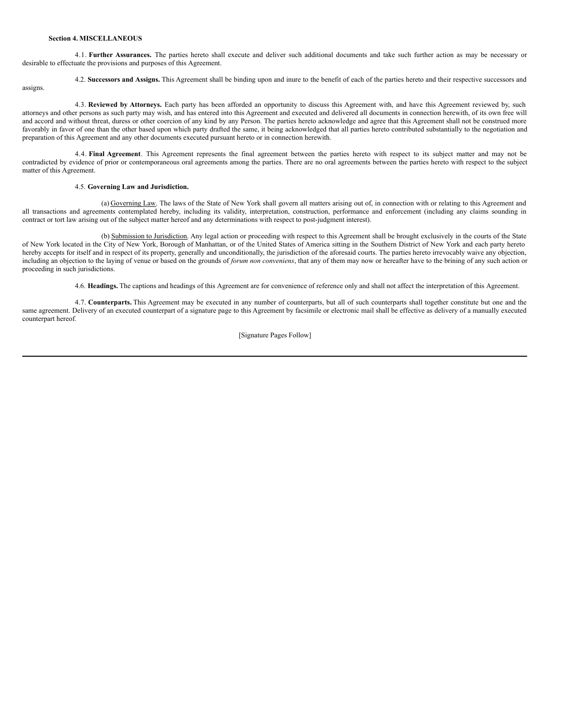#### **Section 4. MISCELLANEOUS**

4.1. **Further Assurances.** The parties hereto shall execute and deliver such additional documents and take such further action as may be necessary or desirable to effectuate the provisions and purposes of this Agreement.

4.2. **Successors and Assigns.** This Agreement shall be binding upon and inure to the benefit of each of the parties hereto and their respective successors and

assigns.

4.3. **Reviewed by Attorneys.** Each party has been afforded an opportunity to discuss this Agreement with, and have this Agreement reviewed by, such attorneys and other persons as such party may wish, and has entered into this Agreement and executed and delivered all documents in connection herewith, of its own free will and accord and without threat, duress or other coercion of any kind by any Person. The parties hereto acknowledge and agree that this Agreement shall not be construed more favorably in favor of one than the other based upon which party drafted the same, it being acknowledged that all parties hereto contributed substantially to the negotiation and preparation of this Agreement and any other documents executed pursuant hereto or in connection herewith.

4.4. **Final Agreement**. This Agreement represents the final agreement between the parties hereto with respect to its subject matter and may not be contradicted by evidence of prior or contemporaneous oral agreements among the parties. There are no oral agreements between the parties hereto with respect to the subject matter of this Agreement.

### 4.5. **Governing Law and Jurisdiction.**

(a) Governing Law. The laws of the State of New York shall govern all matters arising out of, in connection with or relating to this Agreement and all transactions and agreements contemplated hereby, including its validity, interpretation, construction, performance and enforcement (including any claims sounding in contract or tort law arising out of the subject matter hereof and any determinations with respect to post-judgment interest).

(b) Submission to Jurisdiction. Any legal action or proceeding with respect to this Agreement shall be brought exclusively in the courts of the State of New York located in the City of New York, Borough of Manhattan, or of the United States of America sitting in the Southern District of New York and each party hereto hereby accepts for itself and in respect of its property, generally and unconditionally, the jurisdiction of the aforesaid courts. The parties hereto irrevocably waive any objection, including an objection to the laying of venue or based on the grounds of *forum non conveniens*, that any of them may now or hereafter have to the brining of any such action or proceeding in such jurisdictions.

4.6. **Headings.** The captions and headings of this Agreement are for convenience of reference only and shall not affect the interpretation of this Agreement.

4.7. **Counterparts.** This Agreement may be executed in any number of counterparts, but all of such counterparts shall together constitute but one and the same agreement. Delivery of an executed counterpart of a signature page to this Agreement by facsimile or electronic mail shall be effective as delivery of a manually executed counterpart hereof.

[Signature Pages Follow]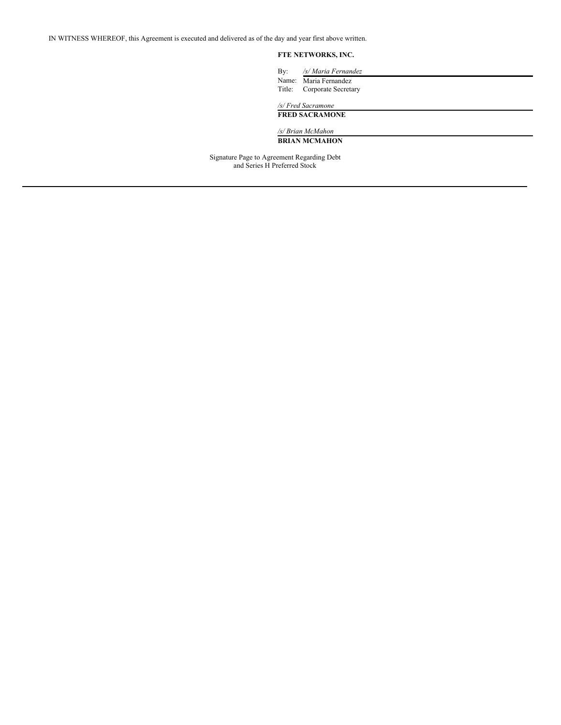IN WITNESS WHEREOF, this Agreement is executed and delivered as of the day and year first above written.

# **FTE NETWORKS, INC.**

| By: | /s/ Maria Fernandez        |
|-----|----------------------------|
|     | Name: Maria Fernandez      |
|     | Title: Corporate Secretary |
|     | /s/ Fred Sacramone         |

# **FRED SACRAMONE**

*/s/ Brian McMahon*

**BRIAN MCMAHON**

Signature Page to Agreement Regarding Debt and Series H Preferred Stock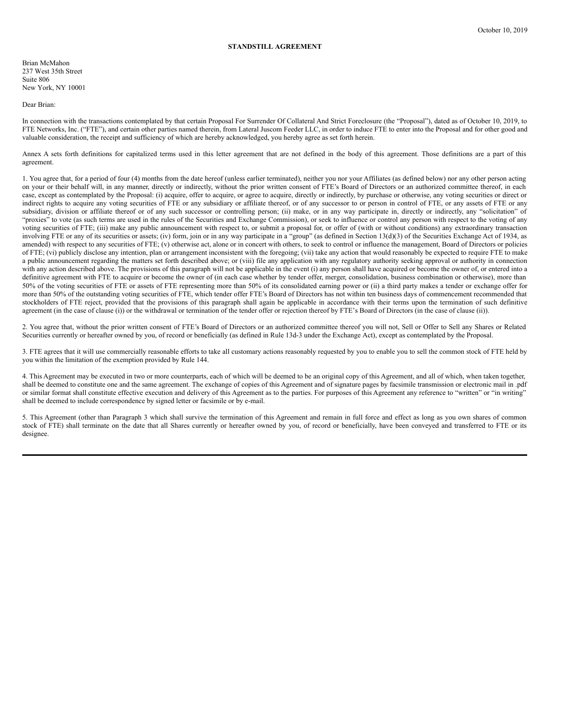### **STANDSTILL AGREEMENT**

Brian McMahon 237 West 35th Street Suite 806 New York, NY 10001

Dear Brian:

In connection with the transactions contemplated by that certain Proposal For Surrender Of Collateral And Strict Foreclosure (the "Proposal"), dated as of October 10, 2019, to FTE Networks, Inc. ("FTE"), and certain other parties named therein, from Lateral Juscom Feeder LLC, in order to induce FTE to enter into the Proposal and for other good and valuable consideration, the receipt and sufficiency of which are hereby acknowledged, you hereby agree as set forth herein.

Annex A sets forth definitions for capitalized terms used in this letter agreement that are not defined in the body of this agreement. Those definitions are a part of this agreement.

1. You agree that, for a period of four (4) months from the date hereof (unless earlier terminated), neither you nor your Affiliates (as defined below) nor any other person acting on your or their behalf will, in any manner, directly or indirectly, without the prior written consent of FTE's Board of Directors or an authorized committee thereof, in each case, except as contemplated by the Proposal: (i) acquire, offer to acquire, or agree to acquire, directly or indirectly, by purchase or otherwise, any voting securities or direct or indirect rights to acquire any voting securities of FTE or any subsidiary or affiliate thereof, or of any successor to or person in control of FTE, or any assets of FTE or any subsidiary, division or affiliate thereof or of any such successor or controlling person; (ii) make, or in any way participate in, directly or indirectly, any "solicitation" of "proxies" to vote (as such terms are used in the rules of the Securities and Exchange Commission), or seek to influence or control any person with respect to the voting of any voting securities of FTE; (iii) make any public announcement with respect to, or submit a proposal for, or offer of (with or without conditions) any extraordinary transaction involving FTE or any of its securities or assets; (iv) form, join or in any way participate in a "group" (as defined in Section 13(d)(3) of the Securities Exchange Act of 1934, as amended) with respect to any securities of FTE; (v) otherwise act, alone or in concert with others, to seek to control or influence the management, Board of Directors or policies of FTE; (vi) publicly disclose any intention, plan or arrangement inconsistent with the foregoing; (vii) take any action that would reasonably be expected to require FTE to make a public announcement regarding the matters set forth described above; or (viii) file any application with any regulatory authority seeking approval or authority in connection with any action described above. The provisions of this paragraph will not be applicable in the event (i) any person shall have acquired or become the owner of, or entered into a definitive agreement with FTE to acquire or become the owner of (in each case whether by tender offer, merger, consolidation, business combination or otherwise), more than 50% of the voting securities of FTE or assets of FTE representing more than 50% of its consolidated earning power or (ii) a third party makes a tender or exchange offer for more than 50% of the outstanding voting securities of FTE, which tender offer FTE's Board of Directors has not within ten business days of commencement recommended that stockholders of FTE reject, provided that the provisions of this paragraph shall again be applicable in accordance with their terms upon the termination of such definitive agreement (in the case of clause (i)) or the withdrawal or termination of the tender offer or rejection thereof by FTE's Board of Directors (in the case of clause (ii)).

2. You agree that, without the prior written consent of FTE's Board of Directors or an authorized committee thereof you will not, Sell or Offer to Sell any Shares or Related Securities currently or hereafter owned by you, of record or beneficially (as defined in Rule 13d-3 under the Exchange Act), except as contemplated by the Proposal.

3. FTE agrees that it will use commercially reasonable efforts to take all customary actions reasonably requested by you to enable you to sell the common stock of FTE held by you within the limitation of the exemption provided by Rule 144.

4. This Agreement may be executed in two or more counterparts, each of which will be deemed to be an original copy of this Agreement, and all of which, when taken together, shall be deemed to constitute one and the same agreement. The exchange of copies of this Agreement and of signature pages by facsimile transmission or electronic mail in .pdf or similar format shall constitute effective execution and delivery of this Agreement as to the parties. For purposes of this Agreement any reference to "written" or "in writing" shall be deemed to include correspondence by signed letter or facsimile or by e-mail.

5. This Agreement (other than Paragraph 3 which shall survive the termination of this Agreement and remain in full force and effect as long as you own shares of common stock of FTE) shall terminate on the date that all Shares currently or hereafter owned by you, of record or beneficially, have been conveyed and transferred to FTE or its designee.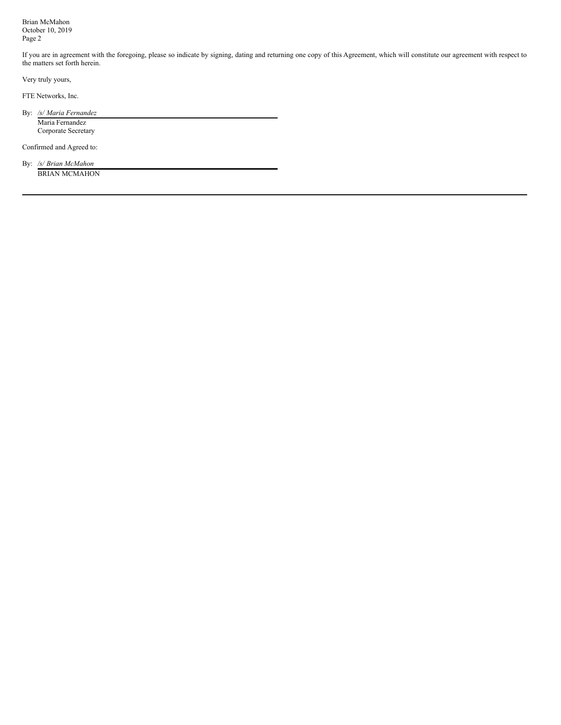<span id="page-13-0"></span>Brian McMahon October 10, 2019 Page 2

If you are in agreement with the foregoing, please so indicate by signing, dating and returning one copy of this Agreement, which will constitute our agreement with respect to the matters set forth herein.

Very truly yours,

FTE Networks, Inc.

By: */s/ Maria Fernandez* Maria Fernandez Corporate Secretary

Confirmed and Agreed to:

By: */s/ Brian McMahon* BRIAN MCMAHON